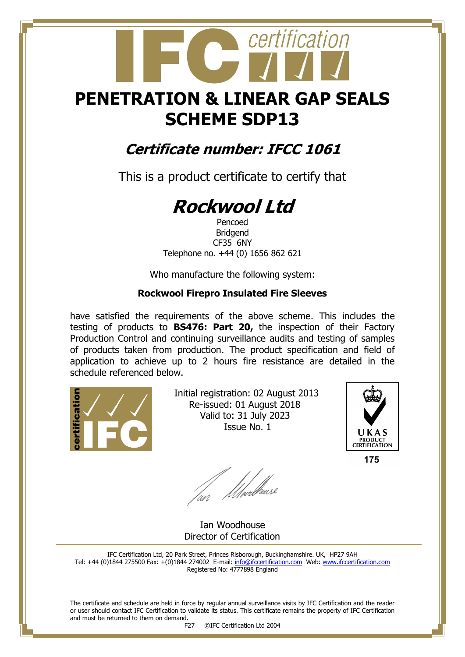## **PENETRATION & LINEAR GAP SEALS SCHEME SDP13**

certification

### **Certificate number: IFCC 1061**

This is a product certificate to certify that

# **Rockwool Ltd**

Pencoed Bridgend CF35 6NY Telephone no. +44 (0) 1656 862 621

Who manufacture the following system:

#### **Rockwool Firepro Insulated Fire Sleeves**

have satisfied the requirements of the above scheme. This includes the testing of products to **BS476: Part 20,** the inspection of their Factory Production Control and continuing surveillance audits and testing of samples of products taken from production. The product specification and field of application to achieve up to 2 hours fire resistance are detailed in the schedule referenced below.



 Initial registration: 02 August 2013 Re-issued: 01 August 2018 Valid to: 31 July 2023 Issue No. 1



175

fan Moedliase

 Ian Woodhouse Director of Certification

IFC Certification Ltd, 20 Park Street, Princes Risborough, Buckinghamshire. UK, HP27 9AH Tel: +44 (0)1844 275500 Fax: +(0)1844 274002 E-mail[: info@ifccertification.com](mailto:info@ifccertification.com) Web: [www.ifccertification.com](http://www.ifccertification.com/) Registered No: 4777898 England

The certificate and schedule are held in force by regular annual surveillance visits by IFC Certification and the reader or user should contact IFC Certification to validate its status. This certificate remains the property of IFC Certification and must be returned to them on demand.